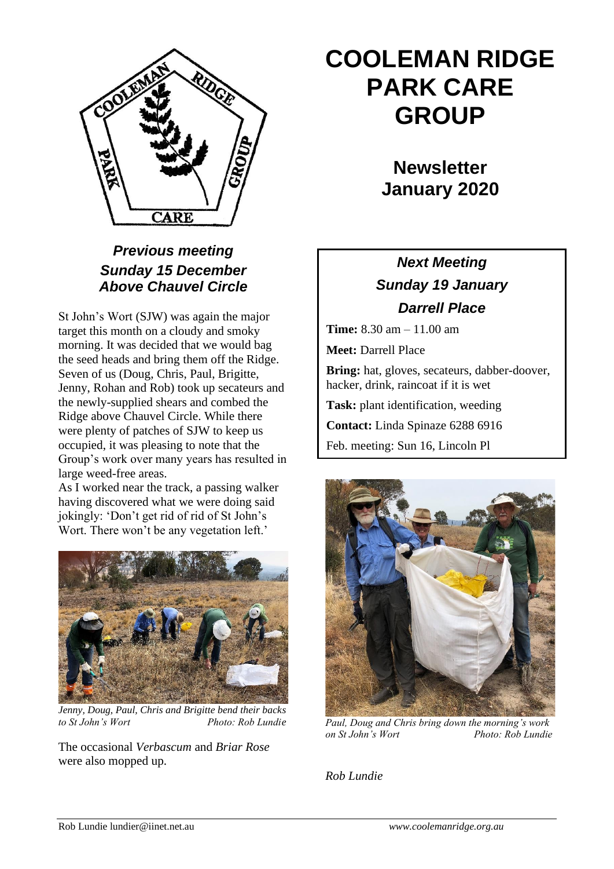

### *Previous meeting Sunday 15 December Above Chauvel Circle*

St John's Wort (SJW) was again the major target this month on a cloudy and smoky morning. It was decided that we would bag the seed heads and bring them off the Ridge. Seven of us (Doug, Chris, Paul, Brigitte, Jenny, Rohan and Rob) took up secateurs and the newly-supplied shears and combed the Ridge above Chauvel Circle. While there were plenty of patches of SJW to keep us occupied, it was pleasing to note that the Group's work over many years has resulted in large weed-free areas.

As I worked near the track, a passing walker having discovered what we were doing said jokingly: 'Don't get rid of rid of St John's Wort. There won't be any vegetation left.'



*Jenny, Doug, Paul, Chris and Brigitte bend their backs to St John's Wort Photo: Rob Lundie*

The occasional *Verbascum* and *Briar Rose*  were also mopped up.

# **COOLEMAN RIDGE PARK CARE GROUP**

**Newsletter January 2020**

## *Next Meeting Sunday 19 January Darrell Place*

**Time:** 8.30 am – 11.00 am

**Meet:** Darrell Place

**Bring:** hat, gloves, secateurs, dabber-doover, hacker, drink, raincoat if it is wet

**Task:** plant identification, weeding

**Contact:** Linda Spinaze 6288 6916

Feb. meeting: Sun 16, Lincoln Pl



*Paul, Doug and Chris bring down the morning's work on St John's Wort Photo: Rob Lundie*

*Rob Lundie*